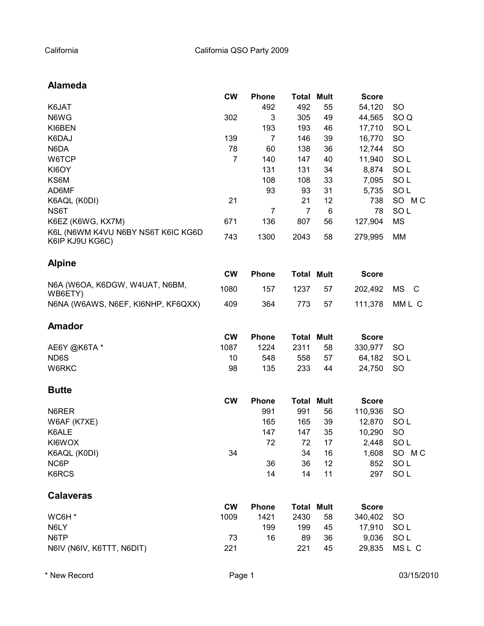# **Alameda**

|                                                       | <b>CW</b>      | <b>Phone</b>   | Total             | <b>Mult</b> | <b>Score</b> |                 |
|-------------------------------------------------------|----------------|----------------|-------------------|-------------|--------------|-----------------|
| K6JAT                                                 |                | 492            | 492               | 55          | 54,120       | <b>SO</b>       |
| N6WG                                                  | 302            | 3              | 305               | 49          | 44,565       | SO <sub>Q</sub> |
| KI6BEN                                                |                | 193            | 193               | 46          | 17,710       | SOL             |
| K6DAJ                                                 | 139            | 7              | 146               | 39          | 16,770       | <b>SO</b>       |
| N6DA                                                  | 78             | 60             | 138               | 36          | 12,744       | SO              |
| W6TCP                                                 | $\overline{7}$ | 140            | 147               | 40          | 11,940       | SOL             |
| KI6OY                                                 |                | 131            | 131               | 34          | 8,874        | SOL             |
| KS6M                                                  |                | 108            | 108               | 33          | 7,095        | SOL             |
| AD6MF                                                 |                | 93             | 93                | 31          | 5,735        | SOL             |
| K6AQL (K0DI)                                          | 21             |                | 21                | 12          | 738          | SO MC           |
| NS6T                                                  |                | $\overline{7}$ | $\overline{7}$    | 6           | 78           | SO <sub>L</sub> |
| K6EZ (K6WG, KX7M)                                     | 671            | 136            | 807               | 56          | 127,904      | <b>MS</b>       |
| K6L (N6WM K4VU N6BY NS6T K6IC KG6D<br>K6IP KJ9U KG6C) | 743            | 1300           | 2043              | 58          | 279,995      | MM              |
| <b>Alpine</b>                                         |                |                |                   |             |              |                 |
|                                                       | <b>CW</b>      | <b>Phone</b>   | <b>Total Mult</b> |             | <b>Score</b> |                 |
| N6A (W6OA, K6DGW, W4UAT, N6BM,<br>WB6ETY)             | 1080           | 157            | 1237              | 57          | 202,492      | <b>MS</b><br>C  |
| N6NA (W6AWS, N6EF, KI6NHP, KF6QXX)                    | 409            | 364            | 773               | 57          | 111,378      | MML C           |
| <b>Amador</b>                                         |                |                |                   |             |              |                 |
|                                                       | <b>CW</b>      | <b>Phone</b>   | <b>Total Mult</b> |             | <b>Score</b> |                 |
| AE6Y @K6TA*                                           | 1087           | 1224           | 2311              | 58          | 330,977      | <b>SO</b>       |
| ND6S                                                  | 10             | 548            | 558               | 57          | 64,182       | SOL             |
| W6RKC                                                 | 98             | 135            | 233               | 44          | 24,750       | <b>SO</b>       |
| <b>Butte</b>                                          |                |                |                   |             |              |                 |
|                                                       | <b>CW</b>      | <b>Phone</b>   | <b>Total Mult</b> |             | <b>Score</b> |                 |
| N6RER                                                 |                | 991            | 991               | 56          | 110,936      | <b>SO</b>       |
| W6AF (K7XE)                                           |                | 165            | 165               | 39          | 12,870       | SOL             |
| K6ALE                                                 |                | 147            | 147               | 35          | 10,290       | <b>SO</b>       |
| KI6WOX                                                |                | 72             | 72                | 17          | 2,448        | SOL             |
| K6AQL (K0DI)                                          | 34             |                | 34                | 16          | 1,608        | SO MC           |
| NC6P                                                  |                | 36             | 36                | 12          | 852          | SO <sub>L</sub> |
| K6RCS                                                 |                | 14             | 14                | 11          | 297          | SO <sub>L</sub> |
| <b>Calaveras</b>                                      |                |                |                   |             |              |                 |
|                                                       | <b>CW</b>      | <b>Phone</b>   | <b>Total Mult</b> |             | <b>Score</b> |                 |
| WC6H <sup>*</sup>                                     | 1009           | 1421           | 2430              | 58          | 340,402      | <b>SO</b>       |
| N6LY                                                  |                | 199            | 199               | 45          | 17,910       | SO <sub>L</sub> |
| N6TP                                                  | 73             | 16             | 89                | 36          | 9,036        | SOL             |
| N6IV (N6IV, K6TTT, N6DIT)                             | 221            |                | 221               | 45          | 29,835       | MSL C           |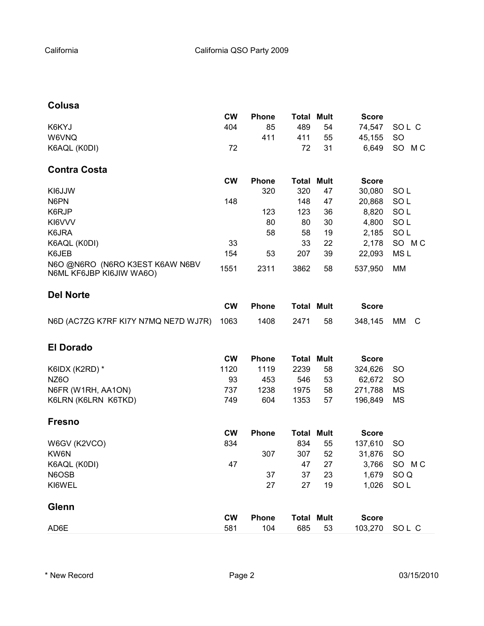# **Colusa**

|                                                             | <b>CW</b> | <b>Phone</b> | <b>Total</b>      | <b>Mult</b> | <b>Score</b> |                 |
|-------------------------------------------------------------|-----------|--------------|-------------------|-------------|--------------|-----------------|
| K6KYJ                                                       | 404       | 85           | 489               | 54          | 74,547       | SOL C           |
| W6VNQ                                                       |           | 411          | 411               | 55          | 45,155       | <b>SO</b>       |
| K6AQL (K0DI)                                                | 72        |              | 72                | 31          | 6,649        | SO<br>M C       |
| <b>Contra Costa</b>                                         |           |              |                   |             |              |                 |
|                                                             | <b>CW</b> | <b>Phone</b> | <b>Total Mult</b> |             | <b>Score</b> |                 |
| KI6JJW                                                      |           | 320          | 320               | 47          | 30,080       | SO <sub>L</sub> |
| N6PN                                                        | 148       |              | 148               | 47          | 20,868       | SOL             |
| K6RJP                                                       |           | 123          | 123               | 36          | 8,820        | SOL             |
| KI6VVV                                                      |           | 80           | 80                | 30          | 4,800        | SOL             |
| K6JRA                                                       |           | 58           | 58                | 19          | 2,185        | SOL             |
| K6AQL (K0DI)                                                | 33        |              | 33                | 22          | 2,178        | SO MC           |
| K6JEB                                                       | 154       | 53           | 207               | 39          | 22,093       | MS <sub>L</sub> |
| N6O @N6RO (N6RO K3EST K6AW N6BV<br>N6ML KF6JBP KI6JIW WA6O) | 1551      | 2311         | 3862              | 58          | 537,950      | MM              |
| <b>Del Norte</b>                                            |           |              |                   |             |              |                 |
|                                                             | <b>CW</b> | <b>Phone</b> | <b>Total Mult</b> |             | <b>Score</b> |                 |
| N6D (AC7ZG K7RF KI7Y N7MQ NE7D WJ7R)                        | 1063      | 1408         | 2471              | 58          | 348,145      | МM<br>C         |
| <b>El Dorado</b>                                            |           |              |                   |             |              |                 |
|                                                             | <b>CW</b> | <b>Phone</b> | <b>Total Mult</b> |             | <b>Score</b> |                 |
| K6IDX (K2RD) *                                              | 1120      | 1119         | 2239              | 58          | 324,626      | <b>SO</b>       |
| <b>NZ6O</b>                                                 | 93        | 453          | 546               | 53          | 62,672       | <b>SO</b>       |
| N6FR (W1RH, AA1ON)                                          | 737       | 1238         | 1975              | 58          | 271,788      | <b>MS</b>       |
| K6LRN (K6LRN K6TKD)                                         | 749       | 604          | 1353              | 57          | 196,849      | <b>MS</b>       |
| <b>Fresno</b>                                               |           |              |                   |             |              |                 |
|                                                             | <b>CW</b> | <b>Phone</b> | <b>Total Mult</b> |             | <b>Score</b> |                 |
| W6GV (K2VCO)                                                | 834       |              | 834               | 55          | 137,610      | <b>SO</b>       |
| KW6N                                                        |           | 307          | 307               | 52          | 31,876       | <b>SO</b>       |
| K6AQL (K0DI)                                                | 47        |              | 47                | 27          | 3,766        | SO<br>МC        |
| N6OSB                                                       |           | 37           | 37                | 23          | 1,679        | SO <sub>Q</sub> |
| KI6WEL                                                      |           | 27           | 27                | 19          | 1,026        | SOL             |
| <b>Glenn</b>                                                |           |              |                   |             |              |                 |
|                                                             | <b>CW</b> | <b>Phone</b> | <b>Total Mult</b> |             | <b>Score</b> |                 |
| AD6E                                                        | 581       | 104          | 685               | 53          | 103,270      | SOL C           |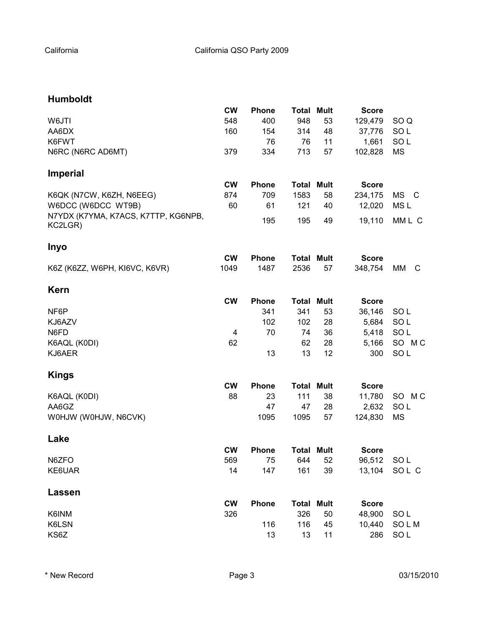### **Humboldt**

|                                     | <b>CW</b> | <b>Phone</b> | <b>Total</b>      | <b>Mult</b> | <b>Score</b> |                 |
|-------------------------------------|-----------|--------------|-------------------|-------------|--------------|-----------------|
| W6JTI                               | 548       | 400          | 948               | 53          | 129,479      | SO <sub>Q</sub> |
| AA6DX                               | 160       | 154          | 314               | 48          | 37,776       | SOL             |
| K6FWT                               |           | 76           | 76                | 11          | 1,661        | SOL             |
| N6RC (N6RC AD6MT)                   | 379       | 334          | 713               | 57          | 102,828      | <b>MS</b>       |
| <b>Imperial</b>                     |           |              |                   |             |              |                 |
|                                     | <b>CW</b> | <b>Phone</b> | <b>Total Mult</b> |             | <b>Score</b> |                 |
| K6QK (N7CW, K6ZH, N6EEG)            | 874       | 709          | 1583              | 58          | 234,175      | MS C            |
| W6DCC (W6DCC WT9B)                  | 60        | 61           | 121               | 40          | 12,020       | MS <sub>L</sub> |
| N7YDX (K7YMA, K7ACS, K7TTP, KG6NPB, |           |              |                   |             |              |                 |
| KC2LGR)                             |           | 195          | 195               | 49          | 19,110       | MML C           |
| <b>Inyo</b>                         |           |              |                   |             |              |                 |
|                                     | <b>CW</b> | <b>Phone</b> | <b>Total Mult</b> |             | <b>Score</b> |                 |
| K6Z (K6ZZ, W6PH, KI6VC, K6VR)       | 1049      | 1487         | 2536              | 57          | 348,754      | МM<br>C         |
| <b>Kern</b>                         |           |              |                   |             |              |                 |
|                                     | <b>CW</b> | <b>Phone</b> | <b>Total Mult</b> |             | <b>Score</b> |                 |
| NF6P                                |           | 341          | 341               | 53          | 36,146       | SOL             |
| KJ6AZV                              |           | 102          | 102               | 28          | 5,684        | SOL             |
| N6FD                                | 4         | 70           | 74                | 36          | 5,418        | SOL             |
|                                     | 62        |              | 62                | 28          |              | SO MC           |
| K6AQL (K0DI)                        |           |              |                   |             | 5,166        |                 |
| KJ6AER                              |           | 13           | 13                | 12          | 300          | SO <sub>L</sub> |
| <b>Kings</b>                        |           |              |                   |             |              |                 |
|                                     | <b>CW</b> | <b>Phone</b> | <b>Total Mult</b> |             | <b>Score</b> |                 |
| K6AQL (K0DI)                        | 88        | 23           | 111               | 38          | 11,780       | SO MC           |
| AA6GZ                               |           | 47           | 47                | 28          | 2,632        | SO <sub>L</sub> |
| WOHJW (WOHJW, N6CVK)                |           | 1095         | 1095              | 57          | 124,830      | <b>MS</b>       |
| Lake                                |           |              |                   |             |              |                 |
|                                     | <b>CW</b> | <b>Phone</b> | <b>Total Mult</b> |             | <b>Score</b> |                 |
| N6ZFO                               | 569       | 75           | 644               | 52          | 96,512 SOL   |                 |
| KE6UAR                              | 14        | 147          | 161               | 39          |              | 13,104 SOL C    |
| Lassen                              |           |              |                   |             |              |                 |
|                                     | <b>CW</b> | <b>Phone</b> | <b>Total Mult</b> |             | <b>Score</b> |                 |
| K6INM                               | 326       |              | 326               | 50          | 48,900       | SOL             |
| K6LSN                               |           | 116          | 116               | 45          | 10,440       | SOLM            |
| KS6Z                                |           | 13           | 13                | 11          | 286          | SOL             |
|                                     |           |              |                   |             |              |                 |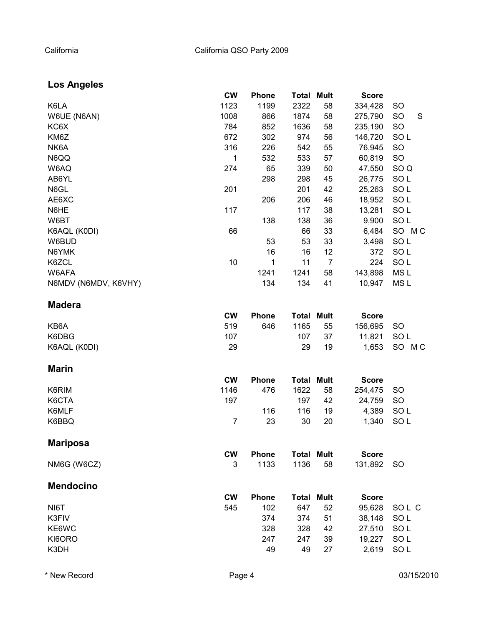# **Los Angeles**

|                      | <b>CW</b>      | <b>Phone</b> | Total             | <b>Mult</b>    | <b>Score</b> |                 |
|----------------------|----------------|--------------|-------------------|----------------|--------------|-----------------|
| K6LA                 | 1123           | 1199         | 2322              | 58             | 334,428      | <b>SO</b>       |
| W6UE (N6AN)          | 1008           | 866          | 1874              | 58             | 275,790      | <b>SO</b><br>S  |
| KC6X                 | 784            | 852          | 1636              | 58             | 235,190      | SO              |
| KM6Z                 | 672            | 302          | 974               | 56             | 146,720      | SO <sub>L</sub> |
| NK6A                 | 316            | 226          | 542               | 55             | 76,945       | SO              |
| N6QQ                 | 1              | 532          | 533               | 57             | 60,819       | SO              |
| W6AQ                 | 274            | 65           | 339               | 50             | 47,550       | SO <sub>Q</sub> |
| AB6YL                |                | 298          | 298               | 45             | 26,775       | SO <sub>L</sub> |
| N6GL                 | 201            |              | 201               | 42             | 25,263       | SO <sub>L</sub> |
| AE6XC                |                | 206          | 206               | 46             | 18,952       | SOL             |
| N6HE                 | 117            |              | 117               | 38             | 13,281       | SOL             |
| W6BT                 |                | 138          | 138               | 36             | 9,900        | SOL             |
| K6AQL (K0DI)         | 66             |              | 66                | 33             | 6,484        | SO MC           |
| W6BUD                |                | 53           | 53                | 33             | 3,498        | SO <sub>L</sub> |
| N6YMK                |                | 16           | 16                | 12             | 372          | SO <sub>L</sub> |
| K6ZCL                | 10             | 1            | 11                | $\overline{7}$ | 224          | SOL             |
| W6AFA                |                | 1241         | 1241              | 58             | 143,898      | MS <sub>L</sub> |
| N6MDV (N6MDV, K6VHY) |                | 134          | 134               | 41             | 10,947       | MS <sub>L</sub> |
| <b>Madera</b>        |                |              |                   |                |              |                 |
|                      | <b>CW</b>      | <b>Phone</b> | <b>Total Mult</b> |                | <b>Score</b> |                 |
| KB6A                 | 519            | 646          | 1165              | 55             | 156,695      | <b>SO</b>       |
| K6DBG                | 107            |              | 107               | 37             | 11,821       | SO <sub>L</sub> |
| K6AQL (K0DI)         | 29             |              | 29                | 19             | 1,653        | SO MC           |
| <b>Marin</b>         |                |              |                   |                |              |                 |
|                      | <b>CW</b>      | <b>Phone</b> | <b>Total Mult</b> |                | <b>Score</b> |                 |
| K6RIM                | 1146           | 476          | 1622              | 58             | 254,475      | <b>SO</b>       |
| K6CTA                | 197            |              | 197               | 42             | 24,759       | <b>SO</b>       |
| K6MLF                |                | 116          | 116               | 19             | 4,389        | SO <sub>L</sub> |
| K6BBQ                | $\overline{7}$ | 23           | 30                | 20             | 1,340        | SO <sub>L</sub> |
| <b>Mariposa</b>      |                |              |                   |                |              |                 |
|                      | <b>CW</b>      | Phone        | <b>Total Mult</b> |                | <b>Score</b> |                 |
| NM6G (W6CZ)          | 3              | 1133         | 1136              | 58             | 131,892      | <b>SO</b>       |
| <b>Mendocino</b>     |                |              |                   |                |              |                 |
|                      | <b>CW</b>      | <b>Phone</b> | <b>Total Mult</b> |                | <b>Score</b> |                 |
| NI6T                 | 545            | 102          | 647               | 52             | 95,628       | SOL C           |
| K3FIV                |                | 374          | 374               | 51             | 38,148       | SO <sub>L</sub> |
| KE6WC                |                | 328          | 328               | 42             | 27,510       | SOL             |
| KI6ORO               |                | 247          | 247               | 39             | 19,227       | SOL             |
| K3DH                 |                | 49           | 49                | 27             | 2,619        | SO <sub>L</sub> |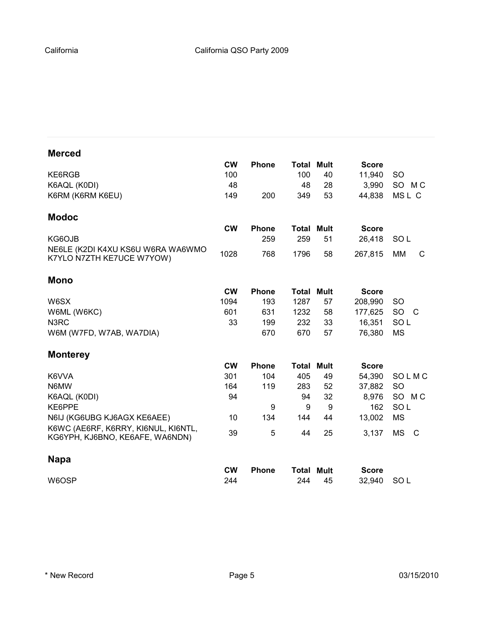| <b>Merced</b>                                                          |           |              |                   |             |              |                 |
|------------------------------------------------------------------------|-----------|--------------|-------------------|-------------|--------------|-----------------|
|                                                                        | <b>CW</b> | <b>Phone</b> | <b>Total Mult</b> |             | <b>Score</b> |                 |
| KE6RGB                                                                 | 100       |              | 100               | 40          | 11,940       | <sub>SO</sub>   |
| K6AQL (K0DI)                                                           | 48        |              | 48                | 28          | 3,990        | SO MC           |
| K6RM (K6RM K6EU)                                                       | 149       | 200          | 349               | 53          | 44,838       | MSL C           |
| <b>Modoc</b>                                                           |           |              |                   |             |              |                 |
|                                                                        | <b>CW</b> | <b>Phone</b> | Total             | <b>Mult</b> | <b>Score</b> |                 |
| KG6OJB                                                                 |           | 259          | 259               | 51          | 26,418       | SO L            |
| NE6LE (K2DI K4XU KS6U W6RA WA6WMO<br>K7YLO N7ZTH KE7UCE W7YOW)         | 1028      | 768          | 1796              | 58          | 267,815      | <b>MM</b><br>C  |
| <b>Mono</b>                                                            |           |              |                   |             |              |                 |
|                                                                        | <b>CW</b> | <b>Phone</b> | Total             | <b>Mult</b> | <b>Score</b> |                 |
| W6SX                                                                   | 1094      | 193          | 1287              | 57          | 208,990      | <b>SO</b>       |
| W6ML (W6KC)                                                            | 601       | 631          | 1232              | 58          | 177,625      | <b>SO</b><br>C  |
| N3RC                                                                   | 33        | 199          | 232               | 33          | 16,351       | SO <sub>L</sub> |
| W6M (W7FD, W7AB, WA7DIA)                                               |           | 670          | 670               | 57          | 76,380       | <b>MS</b>       |
| <b>Monterey</b>                                                        |           |              |                   |             |              |                 |
|                                                                        | <b>CW</b> | <b>Phone</b> | <b>Total Mult</b> |             | <b>Score</b> |                 |
| K6VVA                                                                  | 301       | 104          | 405               | 49          | 54,390       | SOLMC           |
| N6MW                                                                   | 164       | 119          | 283               | 52          | 37,882       | <b>SO</b>       |
| K6AQL (K0DI)                                                           | 94        |              | 94                | 32          | 8,976        | SO MC           |
| KE6PPE                                                                 |           | 9            | 9                 | 9           | 162          | SO <sub>L</sub> |
| N6IJ (KG6UBG KJ6AGX KE6AEE)                                            | 10        | 134          | 144               | 44          | 13,002       | <b>MS</b>       |
| K6WC (AE6RF, K6RRY, KI6NUL, KI6NTL,<br>KG6YPH, KJ6BNO, KE6AFE, WA6NDN) | 39        | 5            | 44                | 25          | 3,137        | MS<br>C         |
| <b>Napa</b>                                                            |           |              |                   |             |              |                 |
|                                                                        | <b>CW</b> | <b>Phone</b> | Total             | Mult        | <b>Score</b> |                 |
| W6OSP                                                                  | 244       |              | 244               | 45          | 32,940       | SO <sub>L</sub> |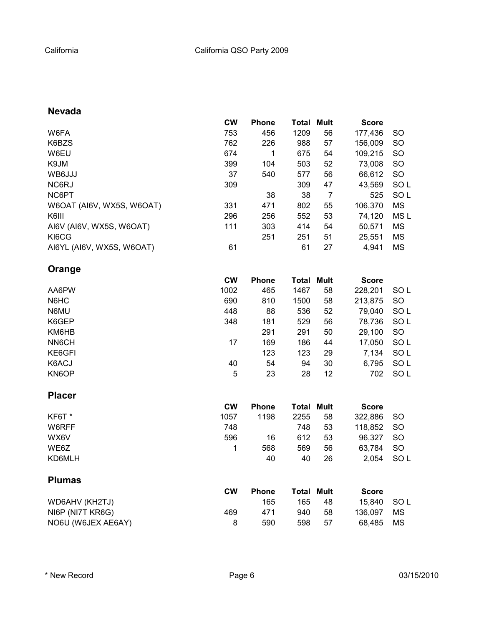# **Nevada**

|                           | <b>CW</b> | <b>Phone</b> | Total | Mult           | <b>Score</b> |                 |
|---------------------------|-----------|--------------|-------|----------------|--------------|-----------------|
| W6FA                      | 753       | 456          | 1209  | 56             | 177,436      | <b>SO</b>       |
| K6BZS                     | 762       | 226          | 988   | 57             | 156,009      | <b>SO</b>       |
| W6EU                      | 674       | 1            | 675   | 54             | 109,215      | <b>SO</b>       |
| K9JM                      | 399       | 104          | 503   | 52             | 73,008       | <b>SO</b>       |
| WB6JJJ                    | 37        | 540          | 577   | 56             | 66,612       | <b>SO</b>       |
| NC6RJ                     | 309       |              | 309   | 47             | 43,569       | SO <sub>L</sub> |
| NC6PT                     |           | 38           | 38    | $\overline{7}$ | 525          | SOL             |
| W6OAT (AI6V, WX5S, W6OAT) | 331       | 471          | 802   | 55             | 106,370      | ΜS              |
| K6III                     | 296       | 256          | 552   | 53             | 74,120       | MS L            |
| AI6V (AI6V, WX5S, W6OAT)  | 111       | 303          | 414   | 54             | 50,571       | MS              |
| KI6CG                     |           | 251          | 251   | 51             | 25,551       | MS              |
| AI6YL (AI6V, WX5S, W6OAT) | 61        |              | 61    | 27             | 4,941        | MS              |
| Orange                    |           |              |       |                |              |                 |
|                           | <b>CW</b> | Phone        | Total | <b>Mult</b>    | <b>Score</b> |                 |
| AA6PW                     | 1002      | 465          | 1467  | 58             | 228,201      | SO <sub>L</sub> |
| N6HC                      | 690       | 810          | 1500  | 58             | 213,875      | SO              |
| N6MU                      | 448       | 88           | 536   | 52             | 79,040       | SOL             |
| K6GEP                     | 348       | 181          | 529   | 56             | 78,736       | SOL             |
| KM6HB                     |           | 291          | 291   | 50             | 29,100       | SO              |
| NN6CH                     | 17        | 169          | 186   | 44             | 17,050       | SO <sub>L</sub> |
| KE6GFI                    |           | 123          | 123   | 29             | 7,134        | SOL             |
| K6ACJ                     | 40        | 54           | 94    | 30             | 6,795        | SOL             |
| KN6OP                     | 5         | 23           | 28    | 12             | 702          | SO <sub>L</sub> |
| <b>Placer</b>             |           |              |       |                |              |                 |

|        | <b>CW</b> | <b>Phone</b> | <b>Total Mult</b> |    | <b>Score</b> |      |
|--------|-----------|--------------|-------------------|----|--------------|------|
| KF6T*  | 1057      | 1198         | 2255              | 58 | 322.886      | -SO  |
| W6RFF  | 748       |              | 748               | 53 | 118.852      | -SO  |
| WX6V   | 596       | 16           | 612               | 53 | 96.327       | -SO  |
| WE6Z   |           | 568          | 569               | 56 | 63.784       | -SO  |
| KD6MLH |           | 40           | 40                | 26 | 2.054        | SO L |

# **Plumas**

|                    | <b>CW</b> | <b>Phone</b> | <b>Total Mult</b> |      | <b>Score</b> |    |
|--------------------|-----------|--------------|-------------------|------|--------------|----|
| WD6AHV (KH2TJ)     |           | 165          | 165               | 48   | 15.840 SOL   |    |
| NI6P (NI7T KR6G)   | 469       | 471          | 940.              | -58  | 136.097      | МS |
| NO6U (W6JEX AE6AY) |           | 590          | 598               | - 57 | 68.485       | MS |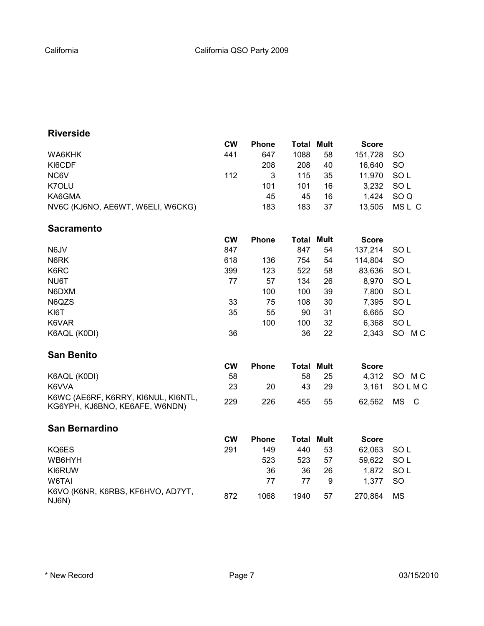# **Riverside**

|                                   | <b>CW</b> | <b>Phone</b> | <b>Total Mult</b> |    | <b>Score</b> |               |
|-----------------------------------|-----------|--------------|-------------------|----|--------------|---------------|
| WA6KHK                            | 441       | 647          | 1088              | 58 | 151,728      | <b>SO</b>     |
| KI6CDF                            |           | 208          | 208               | 40 | 16.640       | <sub>SO</sub> |
| NC6V                              | 112       | 3            | 115               | 35 | 11.970       | SO L          |
| K7OLU                             |           | 101          | 101               | 16 | 3,232        | SO L          |
| KA6GMA                            |           | 45           | 45                | 16 | 1.424        | SO Q          |
| NV6C (KJ6NO, AE6WT, W6ELI, W6CKG) |           | 183          | 183               | 37 | 13.505       | MSL C         |

#### **Sacramento**

|              | <b>CW</b> | <b>Phone</b> | Total | Mult | <b>Score</b> |                 |
|--------------|-----------|--------------|-------|------|--------------|-----------------|
| N6JV         | 847       |              | 847   | 54   | 137,214      | <b>SOL</b>      |
| N6RK         | 618       | 136          | 754   | 54   | 114,804      | <b>SO</b>       |
| K6RC         | 399       | 123          | 522   | 58   | 83,636       | SO <sub>L</sub> |
| NU6T         | 77        | 57           | 134   | 26   | 8,970        | SO <sub>L</sub> |
| N6DXM        |           | 100          | 100   | 39   | 7,800        | SO <sub>L</sub> |
| N6QZS        | 33        | 75           | 108   | 30   | 7,395        | SO L            |
| KI6T         | 35        | 55           | 90    | 31   | 6,665        | <b>SO</b>       |
| K6VAR        |           | 100          | 100   | 32   | 6,368        | SO <sub>L</sub> |
| K6AQL (K0DI) | 36        |              | 36    | 22   | 2,343        | SO.<br>M C      |

#### **San Benito**

|                                                                       | CW  | <b>Phone</b> | <b>Total Mult</b> |     | <b>Score</b> |             |
|-----------------------------------------------------------------------|-----|--------------|-------------------|-----|--------------|-------------|
| K6AQL (K0DI)                                                          | 58  |              | 58.               | -25 |              | 4,312 SO MC |
| K6VVA                                                                 | 23  | 20           | 43.               | -29 |              | 3,161 SOLMC |
| K6WC (AE6RF, K6RRY, KI6NUL, KI6NTL,<br>KG6YPH, KJ6BNO, KE6AFE, W6NDN) | 229 | 226          | 455               | 55  |              | 62.562 MS C |

#### **San Bernardino**

|                                            | <b>CW</b> | <b>Phone</b> | <b>Total Mult</b> |    | <b>Score</b> |               |
|--------------------------------------------|-----------|--------------|-------------------|----|--------------|---------------|
| KQ6ES                                      | 291       | 149          | 440               | 53 | 62.063       | SO L          |
| WB6HYH                                     |           | 523          | 523               | 57 | 59.622       | SO L          |
| KI6RUW                                     |           | 36           | 36                | 26 | 1.872        | SO L          |
| W6TAI                                      |           | 77           | 77                | 9  | 1.377        | <sub>SO</sub> |
| K6VO (K6NR, K6RBS, KF6HVO, AD7YT,<br>NJ6N) | 872       | 1068         | 1940              | 57 | 270.864      | МS            |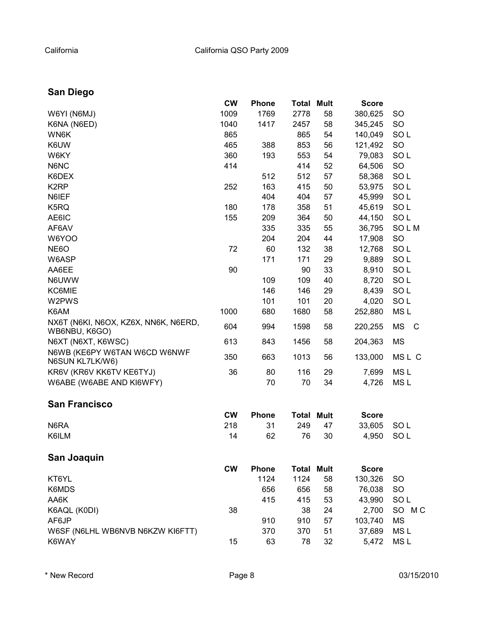# **San Diego**

|                                      | <b>CW</b> | <b>Phone</b> | <b>Total</b>      | <b>Mult</b> | <b>Score</b> |                 |
|--------------------------------------|-----------|--------------|-------------------|-------------|--------------|-----------------|
| W6YI (N6MJ)                          | 1009      | 1769         | 2778              | 58          | 380,625      | <b>SO</b>       |
| K6NA (N6ED)                          | 1040      | 1417         | 2457              | 58          | 345,245      | SO              |
| WN6K                                 | 865       |              | 865               | 54          | 140,049      | SO <sub>L</sub> |
| K6UW                                 | 465       | 388          | 853               | 56          | 121,492      | SO              |
| W6KY                                 | 360       | 193          | 553               | 54          | 79,083       | SO <sub>L</sub> |
| N6NC                                 | 414       |              | 414               | 52          | 64,506       | SO              |
| K6DEX                                |           | 512          | 512               | 57          | 58,368       | SOL             |
| K <sub>2</sub> RP                    | 252       | 163          | 415               | 50          | 53,975       | SO <sub>L</sub> |
| N6IEF                                |           | 404          | 404               | 57          | 45,999       | SO <sub>L</sub> |
| K5RQ                                 | 180       | 178          | 358               | 51          | 45,619       | SO <sub>L</sub> |
| AE6IC                                | 155       | 209          | 364               | 50          | 44,150       | SO <sub>L</sub> |
| AF6AV                                |           | 335          | 335               | 55          | 36,795       | SOLM            |
| W6YOO                                |           | 204          | 204               | 44          | 17,908       | SO              |
| NE6O                                 | 72        | 60           | 132               | 38          | 12,768       | SO <sub>L</sub> |
| W6ASP                                |           | 171          | 171               | 29          | 9,889        | SOL             |
| AA6EE                                | 90        |              | 90                | 33          | 8,910        | SOL             |
| N6UWW                                |           | 109          | 109               | 40          | 8,720        | SOL             |
| KC6MIE                               |           | 146          | 146               | 29          | 8,439        | SO <sub>L</sub> |
| W2PWS                                |           | 101          | 101               | 20          | 4,020        | SO <sub>L</sub> |
| K6AM                                 | 1000      | 680          | 1680              | 58          | 252,880      | MS <sub>L</sub> |
| NX6T (N6KI, N6OX, KZ6X, NN6K, N6ERD, |           |              |                   |             |              |                 |
| WB6NBU, K6GO)                        | 604       | 994          | 1598              | 58          | 220,255      | <b>MS</b><br>C  |
| N6XT (N6XT, K6WSC)                   | 613       | 843          | 1456              | 58          | 204,363      | <b>MS</b>       |
| N6WB (KE6PY W6TAN W6CD W6NWF         |           |              |                   |             |              |                 |
| N6SUN KL7LK/W6)                      | 350       | 663          | 1013              | 56          | 133,000      | MSL C           |
| KR6V (KR6V KK6TV KE6TYJ)             | 36        | 80           | 116               | 29          | 7,699        | MS <sub>L</sub> |
| W6ABE (W6ABE AND KI6WFY)             |           | 70           | 70                | 34          | 4,726        | MS <sub>L</sub> |
| <b>San Francisco</b>                 |           |              |                   |             |              |                 |
|                                      | <b>CW</b> | <b>Phone</b> | <b>Total Mult</b> |             | <b>Score</b> |                 |
| N6RA                                 | 218       | 31           | 249               | 47          | 33,605       | SOL             |
| K6ILM                                | 14        | 62           | 76                | 30          | 4,950        | SO <sub>L</sub> |
| San Joaquin                          |           |              |                   |             |              |                 |
|                                      | <b>CW</b> | <b>Phone</b> | <b>Total Mult</b> |             | <b>Score</b> |                 |
| KT6YL                                |           | 1124         | 1124              | 58          | 130,326      | <b>SO</b>       |
| K6MDS                                |           | 656          | 656               | 58          | 76,038       | <b>SO</b>       |
| AA6K                                 |           | 415          | 415               | 53          | 43,990       | SO <sub>L</sub> |
| K6AQL (K0DI)                         | 38        |              | 38                | 24          | 2,700        | SO MC           |
| AF6JP                                |           | 910          | 910               | 57          | 103,740      | <b>MS</b>       |
| W6SF (N6LHL WB6NVB N6KZW KI6FTT)     |           | 370          | 370               | 51          | 37,689       | MS <sub>L</sub> |
| K6WAY                                | 15        | 63           | 78                | 32          | 5,472        | MS <sub>L</sub> |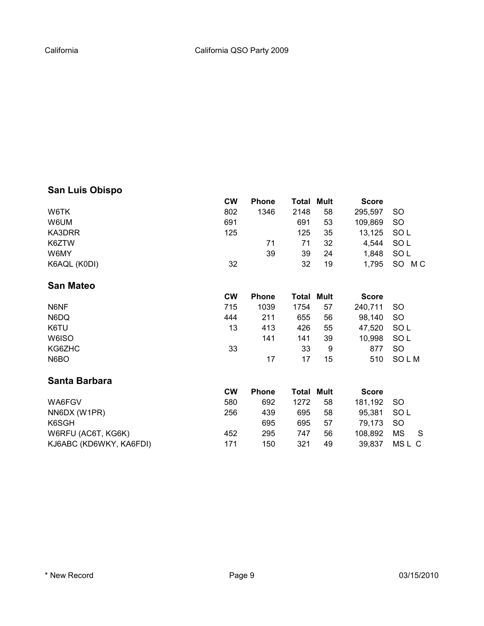# **San Luis Obispo**

|                         | <b>CW</b> | <b>Phone</b> | Total | <b>Mult</b> | <b>Score</b> |             |
|-------------------------|-----------|--------------|-------|-------------|--------------|-------------|
| W6TK                    | 802       | 1346         | 2148  | 58          | 295,597      | SO          |
| W6UM                    | 691       |              | 691   | 53          | 109,869      | <b>SO</b>   |
| KA3DRR                  | 125       |              | 125   | 35          | 13,125       | SOL         |
| K6ZTW                   |           | 71           | 71    | 32          | 4,544        | SOL         |
| W6MY                    |           | 39           | 39    | 24          | 1,848        | SOL         |
| K6AQL (K0DI)            | 32        |              | 32    | 19          | 1,795        | SO MC       |
| <b>San Mateo</b>        |           |              |       |             |              |             |
|                         | <b>CW</b> | <b>Phone</b> | Total | <b>Mult</b> | <b>Score</b> |             |
| N6NF                    | 715       | 1039         | 1754  | 57          | 240,711      | <b>SO</b>   |
| N6DQ                    | 444       | 211          | 655   | 56          | 98,140       | <b>SO</b>   |
| K6TU                    | 13        | 413          | 426   | 55          | 47,520       | SOL         |
| W6ISO                   |           | 141          | 141   | 39          | 10,998       | SOL         |
| KG6ZHC                  | 33        |              | 33    | 9           | 877          | <b>SO</b>   |
| N6BO                    |           | 17           | 17    | 15          | 510          | <b>SOLM</b> |
| Santa Barbara           |           |              |       |             |              |             |
|                         | <b>CW</b> | <b>Phone</b> | Total | <b>Mult</b> | <b>Score</b> |             |
| WA6FGV                  | 580       | 692          | 1272  | 58          | 181,192      | <b>SO</b>   |
| NN6DX (W1PR)            | 256       | 439          | 695   | 58          | 95,381       | SOL         |
| K6SGH                   |           | 695          | 695   | 57          | 79,173       | <b>SO</b>   |
| W6RFU (AC6T, KG6K)      | 452       | 295          | 747   | 56          | 108,892      | MS<br>S     |
| KJ6ABC (KD6WKY, KA6FDI) | 171       | 150          | 321   | 49          | 39,837       | MSL C       |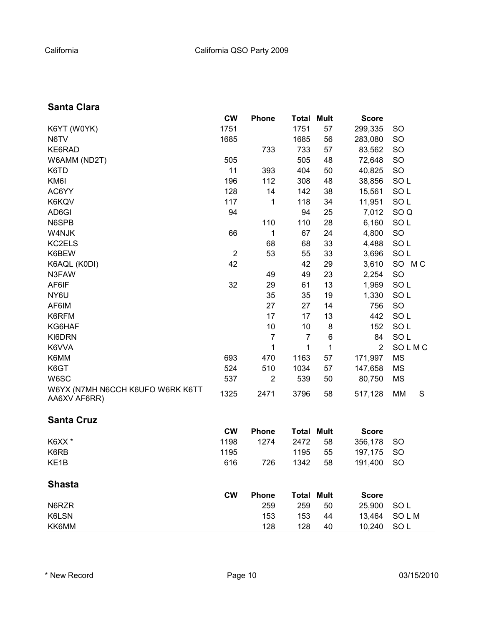# **Santa Clara**

|                                                  | <b>CW</b>      | <b>Phone</b>   | Total | <b>Mult</b> | <b>Score</b>   |                 |
|--------------------------------------------------|----------------|----------------|-------|-------------|----------------|-----------------|
| K6YT (W0YK)                                      | 1751           |                | 1751  | 57          | 299,335        | <b>SO</b>       |
| N6TV                                             | 1685           |                | 1685  | 56          | 283,080        | <b>SO</b>       |
| KE6RAD                                           |                | 733            | 733   | 57          | 83,562         | <b>SO</b>       |
| W6AMM (ND2T)                                     | 505            |                | 505   | 48          | 72,648         | <b>SO</b>       |
| K6TD                                             | 11             | 393            | 404   | 50          | 40,825         | <b>SO</b>       |
| KM6I                                             | 196            | 112            | 308   | 48          | 38,856         | SOL             |
| AC6YY                                            | 128            | 14             | 142   | 38          | 15,561         | SO <sub>L</sub> |
| K6KQV                                            | 117            | 1              | 118   | 34          | 11,951         | SO <sub>L</sub> |
| AD6GI                                            | 94             |                | 94    | 25          | 7,012          | SO <sub>Q</sub> |
| N6SPB                                            |                | 110            | 110   | 28          | 6,160          | SO <sub>L</sub> |
| W4NJK                                            | 66             | 1              | 67    | 24          | 4,800          | <b>SO</b>       |
| KC2ELS                                           |                | 68             | 68    | 33          | 4,488          | SO <sub>L</sub> |
| K6BEW                                            | $\overline{2}$ | 53             | 55    | 33          | 3,696          | SOL             |
| K6AQL (K0DI)                                     | 42             |                | 42    | 29          | 3,610          | SO MC           |
| N3FAW                                            |                | 49             | 49    | 23          | 2,254          | <b>SO</b>       |
| AF6IF                                            | 32             | 29             | 61    | 13          | 1,969          | SO <sub>L</sub> |
| NY6U                                             |                | 35             | 35    | 19          | 1,330          | SO <sub>L</sub> |
| AF6IM                                            |                | 27             | 27    | 14          | 756            | SO              |
| K6RFM                                            |                | 17             | 17    | 13          | 442            | SO <sub>L</sub> |
| KG6HAF                                           |                | 10             | 10    | 8           | 152            | SO <sub>L</sub> |
| KI6DRN                                           |                | 7              | 7     | 6           | 84             | SO <sub>L</sub> |
| K6VVA                                            |                | 1              | 1     | 1           | $\overline{2}$ | SOLMC           |
| K6MM                                             | 693            | 470            | 1163  | 57          | 171,997        | <b>MS</b>       |
| K6GT                                             | 524            | 510            | 1034  | 57          | 147,658        | MS              |
| W6SC                                             | 537            | $\overline{2}$ | 539   | 50          | 80,750         | MS              |
| W6YX (N7MH N6CCH K6UFO W6RK K6TT<br>AA6XV AF6RR) | 1325           | 2471           | 3796  | 58          | 517,128        | MM<br>S         |

# **Santa Cruz**

|        | <b>CW</b> | <b>Phone</b> | <b>Total Mult</b> | <b>Score</b> |  |
|--------|-----------|--------------|-------------------|--------------|--|
| K6XX * | 1198      | 1274         | 2472 58           | 356.178 SO   |  |
| K6RB   | 1195      |              | 1195 55           | 197.175 SO   |  |
| KE1B   | 616       | 726          | 1342 58           | 191.400 SO   |  |

# **Shasta**

| <b>CW</b> | <b>Phone</b> | <b>Total Mult</b> |    | <b>Score</b> |             |
|-----------|--------------|-------------------|----|--------------|-------------|
| N6RZR     | 259          | 259               | 50 | 25,900 SOL   |             |
| K6LSN     | 153          | 153               | 44 |              | 13,464 SOLM |
| KK6MM     | 128          | 128               | 40 | 10.240 SOL   |             |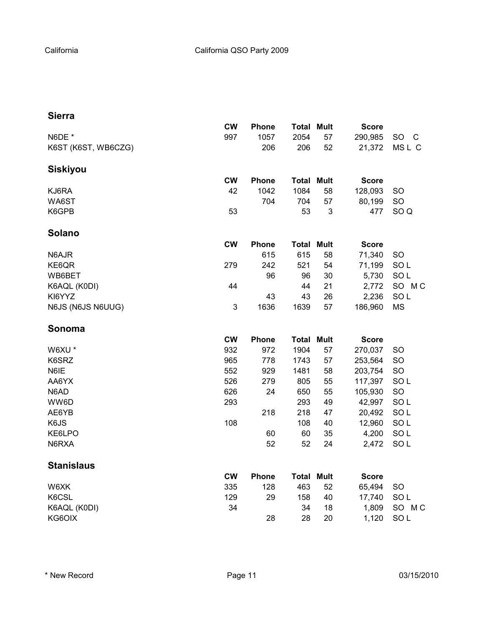#### **Sierra**

|                     | <b>CW</b>    | <b>Phone</b> | <b>Total Mult</b> |    | <b>Score</b> |                    |
|---------------------|--------------|--------------|-------------------|----|--------------|--------------------|
| N6DE *              | 997          | 1057         | 2054              | 57 | 290,985      | SO<br>$\mathsf{C}$ |
| K6ST (K6ST, WB6CZG) |              | 206          | 206               | 52 | 21,372       | MSL C              |
| <b>Siskiyou</b>     |              |              |                   |    |              |                    |
|                     | <b>CW</b>    | <b>Phone</b> | <b>Total Mult</b> |    | <b>Score</b> |                    |
| KJ6RA               | 42           | 1042         | 1084              | 58 | 128,093      | <b>SO</b>          |
| WA6ST               |              | 704          | 704               | 57 | 80,199       | SO                 |
| K6GPB               | 53           |              | 53                | 3  | 477          | SO <sub>Q</sub>    |
| Solano              |              |              |                   |    |              |                    |
|                     | <b>CW</b>    | <b>Phone</b> | <b>Total Mult</b> |    | <b>Score</b> |                    |
| N6AJR               |              | 615          | 615               | 58 | 71,340       | <b>SO</b>          |
| KE6QR               | 279          | 242          | 521               | 54 | 71,199       | SO <sub>L</sub>    |
| WB6BET              |              | 96           | 96                | 30 | 5,730        | SOL                |
| K6AQL (K0DI)        | 44           |              | 44                | 21 | 2,772        | SO MC              |
| KI6YYZ              |              | 43           | 43                | 26 | 2,236        | SOL                |
| N6JS (N6JS N6UUG)   | $\mathbf{3}$ | 1636         | 1639              | 57 | 186,960      | <b>MS</b>          |
| Sonoma              |              |              |                   |    |              |                    |
|                     | <b>CW</b>    | <b>Phone</b> | <b>Total Mult</b> |    | <b>Score</b> |                    |
| W6XU *              | 932          | 972          | 1904              | 57 | 270,037      | SO                 |
| K6SRZ               | 965          | 778          | 1743              | 57 | 253,564      | SO                 |
| N6IE                | 552          | 929          | 1481              | 58 | 203,754      | SO                 |
| AA6YX               | 526          | 279          | 805               | 55 | 117,397      | SO <sub>L</sub>    |
| N6AD                | 626          | 24           | 650               | 55 | 105,930      | SO                 |
| WW6D                | 293          |              | 293               | 49 | 42,997       | SOL                |
| AE6YB               |              | 218          | 218               | 47 | 20,492       | SO <sub>L</sub>    |
| K6JS                | 108          |              | 108               | 40 | 12,960       | SO <sub>L</sub>    |
| KE6LPO              |              | 60           | 60                | 35 | 4,200        | SO <sub>L</sub>    |
| N6RXA               |              | 52           | 52                | 24 | 2,472        | SO <sub>L</sub>    |
| <b>Stanislaus</b>   |              |              |                   |    |              |                    |
|                     | <b>CW</b>    | <b>Phone</b> | <b>Total Mult</b> |    | <b>Score</b> |                    |
| W6XK                | 335          | 128          | 463               | 52 | 65,494       | <b>SO</b>          |
| K6CSL               | 129          | 29           | 158               | 40 | 17,740       | SO <sub>L</sub>    |
| K6AQL (K0DI)        | 34           |              | 34                | 18 | 1,809        | SO MC              |
| KG6OIX              |              | 28           | 28                | 20 | 1,120        | SO <sub>L</sub>    |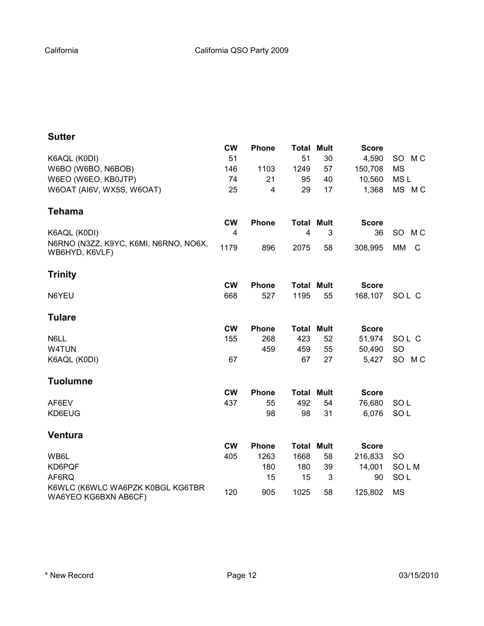|                                                          | <b>CW</b> | Phone        | Total             | <b>Mult</b> | <b>Score</b> |                      |
|----------------------------------------------------------|-----------|--------------|-------------------|-------------|--------------|----------------------|
| K6AQL (K0DI)                                             | 51        |              | 51                | 30          | 4,590        | M C<br>SO            |
| W6BO (W6BO, N6BOB)                                       | 146       | 1103         | 1249              | 57          | 150,708      | <b>MS</b>            |
| W6EO (W6EO, KB0JTP)                                      | 74        | 21           | 95                | 40          | 10,560       | MS <sub>L</sub>      |
| W6OAT (AI6V, WX5S, W6OAT)                                | 25        | 4            | 29                | 17          | 1,368        | MS MC                |
| Tehama                                                   |           |              |                   |             |              |                      |
|                                                          | <b>CW</b> | <b>Phone</b> | <b>Total Mult</b> |             | <b>Score</b> |                      |
| K6AQL (K0DI)                                             | 4         |              | 4                 | 3           | 36           | SO.<br>M C           |
| N6RNO (N3ZZ, K9YC, K6MI, N6RNO, NO6X,<br>WB6HYD, K6VLF)  | 1179      | 896          | 2075              | 58          | 308,995      | <b>MM</b><br>C       |
| <b>Trinity</b>                                           |           |              |                   |             |              |                      |
|                                                          | <b>CW</b> | <b>Phone</b> | <b>Total Mult</b> |             | <b>Score</b> |                      |
| N6YEU                                                    | 668       | 527          | 1195              | 55          | 168,107      | SOL C                |
| <b>Tulare</b>                                            |           |              |                   |             |              |                      |
|                                                          | <b>CW</b> | <b>Phone</b> | <b>Total Mult</b> |             | <b>Score</b> |                      |
| N6LL                                                     | 155       | 268          | 423               | 52          | 51,974       | SOL C                |
| W4TUN                                                    |           | 459          | 459               | 55          | 50,490       | SO                   |
| K6AQL (K0DI)                                             | 67        |              | 67                | 27          | 5,427        | SO<br>M <sub>C</sub> |
| <b>Tuolumne</b>                                          |           |              |                   |             |              |                      |
|                                                          | <b>CW</b> | <b>Phone</b> | <b>Total Mult</b> |             | <b>Score</b> |                      |
| AF6EV                                                    | 437       | 55           | 492               | 54          | 76,680       | SOL                  |
| KD6EUG                                                   |           | 98           | 98                | 31          | 6,076        | SOL                  |
| <b>Ventura</b>                                           |           |              |                   |             |              |                      |
|                                                          | <b>CW</b> | Phone        | <b>Total Mult</b> |             | <b>Score</b> |                      |
| WB6L                                                     | 405       | 1263         | 1668              | 58          | 216,833      | <b>SO</b>            |
| KD6PQF                                                   |           | 180          | 180               | 39          | 14,001       | <b>SOLM</b>          |
| AF6RQ                                                    |           | 15           | 15                | 3           | 90           | SO <sub>L</sub>      |
| K6WLC (K6WLC WA6PZK K0BGL KG6TBR<br>WA6YEO KG6BXN AB6CF) | 120       | 905          | 1025              | 58          | 125,802      | <b>MS</b>            |